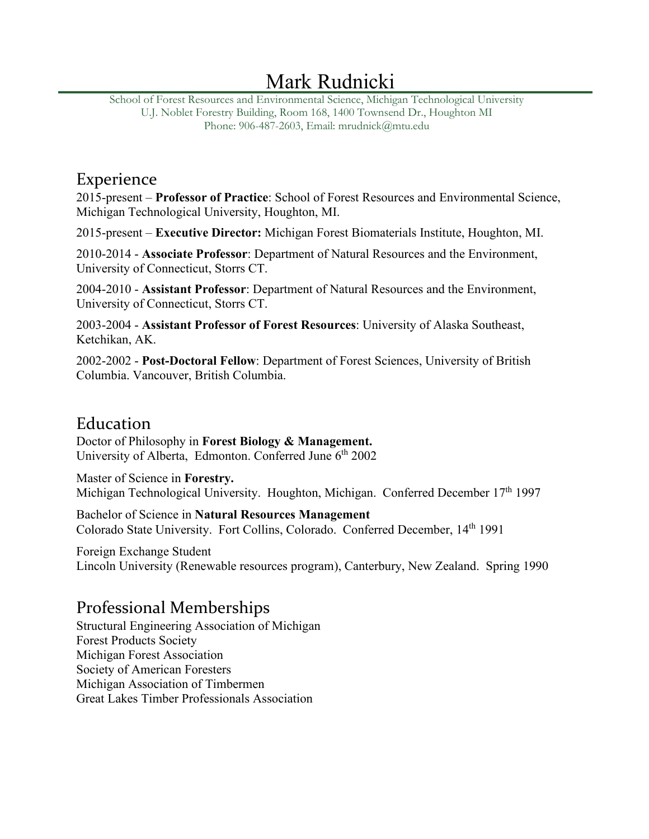# Mark Rudnicki

School of Forest Resources and Environmental Science, Michigan Technological University U.J. Noblet Forestry Building, Room 168, 1400 Townsend Dr., Houghton MI Phone: 906-487-2603, Email: mrudnick@mtu.edu

## Experience

2015-present – **Professor of Practice**: School of Forest Resources and Environmental Science, Michigan Technological University, Houghton, MI.

2015-present – **Executive Director:** Michigan Forest Biomaterials Institute, Houghton, MI.

2010-2014 - **Associate Professor**: Department of Natural Resources and the Environment, University of Connecticut, Storrs CT.

2004-2010 - **Assistant Professor**: Department of Natural Resources and the Environment, University of Connecticut, Storrs CT.

2003-2004 - **Assistant Professor of Forest Resources**: University of Alaska Southeast, Ketchikan, AK.

2002-2002 - **Post-Doctoral Fellow**: Department of Forest Sciences, University of British Columbia. Vancouver, British Columbia.

## Education

Doctor of Philosophy in **Forest Biology & Management.**  University of Alberta, Edmonton. Conferred June  $6<sup>th</sup> 2002$ 

Master of Science in **Forestry.** Michigan Technological University. Houghton, Michigan. Conferred December 17<sup>th</sup> 1997

Bachelor of Science in **Natural Resources Management** Colorado State University. Fort Collins, Colorado. Conferred December, 14th 1991

Foreign Exchange Student Lincoln University (Renewable resources program), Canterbury, New Zealand. Spring 1990

## Professional Memberships

Structural Engineering Association of Michigan Forest Products Society Michigan Forest Association Society of American Foresters Michigan Association of Timbermen Great Lakes Timber Professionals Association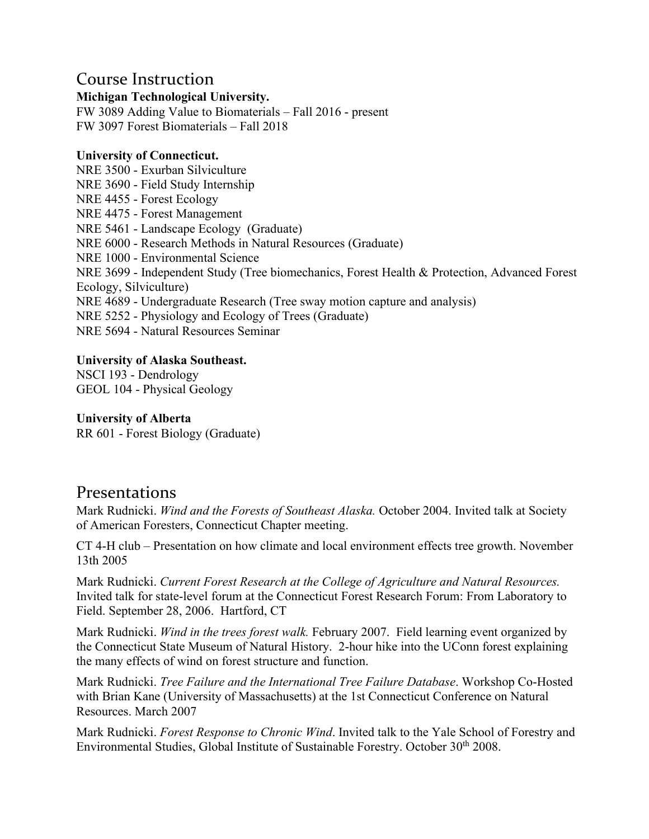### Course Instruction

**Michigan Technological University.**

FW 3089 Adding Value to Biomaterials – Fall 2016 - present FW 3097 Forest Biomaterials – Fall 2018

### **University of Connecticut.**

NRE 3500 - Exurban Silviculture NRE 3690 - Field Study Internship NRE 4455 - Forest Ecology NRE 4475 - Forest Management NRE 5461 - Landscape Ecology (Graduate) NRE 6000 - Research Methods in Natural Resources (Graduate) NRE 1000 - Environmental Science NRE 3699 - Independent Study (Tree biomechanics, Forest Health & Protection, Advanced Forest Ecology, Silviculture) NRE 4689 - Undergraduate Research (Tree sway motion capture and analysis) NRE 5252 - Physiology and Ecology of Trees (Graduate) NRE 5694 - Natural Resources Seminar

### **University of Alaska Southeast.**

NSCI 193 - Dendrology GEOL 104 - Physical Geology

### **University of Alberta**

RR 601 - Forest Biology (Graduate)

### Presentations

Mark Rudnicki. *Wind and the Forests of Southeast Alaska.* October 2004. Invited talk at Society of American Foresters, Connecticut Chapter meeting.

CT 4-H club – Presentation on how climate and local environment effects tree growth. November 13th 2005

Mark Rudnicki. *Current Forest Research at the College of Agriculture and Natural Resources.*  Invited talk for state-level forum at the Connecticut Forest Research Forum: From Laboratory to Field. September 28, 2006. Hartford, CT

Mark Rudnicki. *Wind in the trees forest walk.* February 2007. Field learning event organized by the Connecticut State Museum of Natural History. 2-hour hike into the UConn forest explaining the many effects of wind on forest structure and function.

Mark Rudnicki. *Tree Failure and the International Tree Failure Database*. Workshop Co-Hosted with Brian Kane (University of Massachusetts) at the 1st Connecticut Conference on Natural Resources. March 2007

Mark Rudnicki. *Forest Response to Chronic Wind*. Invited talk to the Yale School of Forestry and Environmental Studies, Global Institute of Sustainable Forestry. October 30<sup>th</sup> 2008.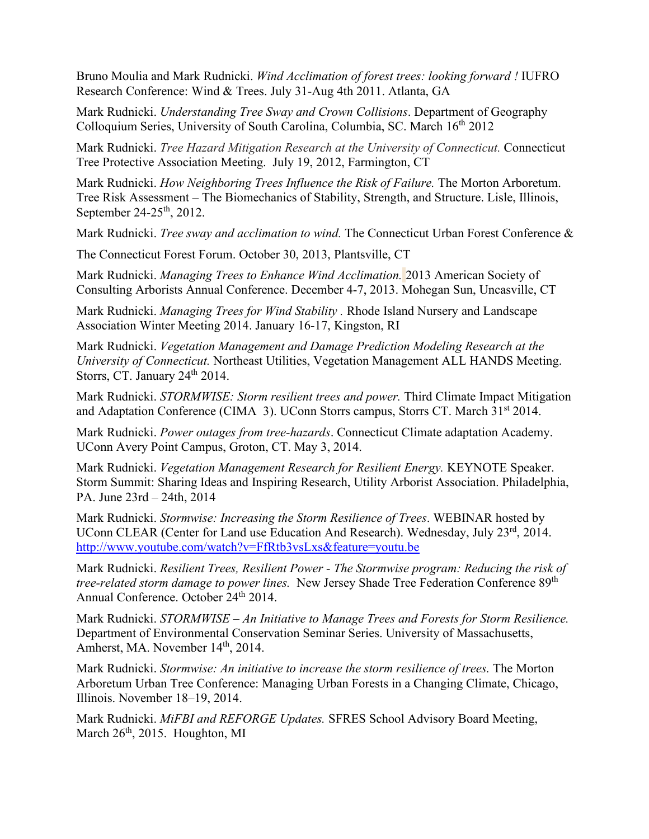Bruno Moulia and Mark Rudnicki. *Wind Acclimation of forest trees: looking forward !* IUFRO Research Conference: Wind & Trees. July 31-Aug 4th 2011. Atlanta, GA

Mark Rudnicki. *Understanding Tree Sway and Crown Collisions*. Department of Geography Colloquium Series, University of South Carolina, Columbia, SC. March 16<sup>th</sup> 2012

Mark Rudnicki. *Tree Hazard Mitigation Research at the University of Connecticut.* Connecticut Tree Protective Association Meeting. July 19, 2012, Farmington, CT

Mark Rudnicki. *How Neighboring Trees Influence the Risk of Failure.* The Morton Arboretum. Tree Risk Assessment – The Biomechanics of Stability, Strength, and Structure. Lisle, Illinois, September 24-25<sup>th</sup>, 2012.

Mark Rudnicki. *Tree sway and acclimation to wind.* The Connecticut Urban Forest Conference &

The Connecticut Forest Forum. October 30, 2013, Plantsville, CT

Mark Rudnicki. *Managing Trees to Enhance Wind Acclimation.* 2013 American Society of Consulting Arborists Annual Conference. December 4-7, 2013. Mohegan Sun, Uncasville, CT

Mark Rudnicki. *Managing Trees for Wind Stability .* Rhode Island Nursery and Landscape Association Winter Meeting 2014. January 16-17, Kingston, RI

Mark Rudnicki. *Vegetation Management and Damage Prediction Modeling Research at the University of Connecticut.* Northeast Utilities, Vegetation Management ALL HANDS Meeting. Storrs, CT. January 24<sup>th</sup> 2014.

Mark Rudnicki. *STORMWISE: Storm resilient trees and power.* Third Climate Impact Mitigation and Adaptation Conference (CIMA 3). UConn Storrs campus, Storrs CT. March 31<sup>st</sup> 2014.

Mark Rudnicki. *Power outages from tree-hazards*. Connecticut Climate adaptation Academy. UConn Avery Point Campus, Groton, CT. May 3, 2014.

Mark Rudnicki. *Vegetation Management Research for Resilient Energy.* KEYNOTE Speaker. Storm Summit: Sharing Ideas and Inspiring Research, Utility Arborist Association. Philadelphia, PA. June 23rd – 24th, 2014

Mark Rudnicki. *Stormwise: Increasing the Storm Resilience of Trees*. WEBINAR hosted by UConn CLEAR (Center for Land use Education And Research). Wednesday, July 23<sup>rd</sup>, 2014. <http://www.youtube.com/watch?v=FfRtb3vsLxs&feature=youtu.be>

Mark Rudnicki. *Resilient Trees, Resilient Power - The Stormwise program: Reducing the risk of tree-related storm damage to power lines.* New Jersey Shade Tree Federation Conference 89th Annual Conference. October 24<sup>th</sup> 2014.

Mark Rudnicki. *STORMWISE – An Initiative to Manage Trees and Forests for Storm Resilience.* Department of Environmental Conservation Seminar Series. University of Massachusetts, Amherst, MA. November 14<sup>th</sup>, 2014.

Mark Rudnicki. *Stormwise: An initiative to increase the storm resilience of trees.* The Morton Arboretum Urban Tree Conference: Managing Urban Forests in a Changing Climate, Chicago, Illinois. November 18–19, 2014.

Mark Rudnicki. *MiFBI and REFORGE Updates.* SFRES School Advisory Board Meeting, March 26<sup>th</sup>, 2015. Houghton, MI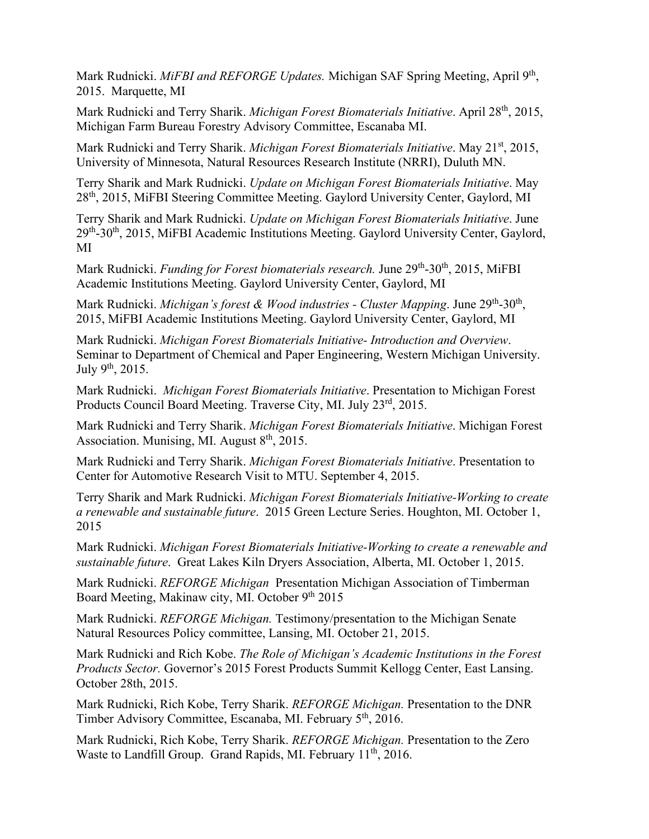Mark Rudnicki. *MiFBI and REFORGE Updates*. Michigan SAF Spring Meeting, April 9<sup>th</sup>, 2015. Marquette, MI

Mark Rudnicki and Terry Sharik. *Michigan Forest Biomaterials Initiative*. April 28th, 2015, Michigan Farm Bureau Forestry Advisory Committee, Escanaba MI.

Mark Rudnicki and Terry Sharik. *Michigan Forest Biomaterials Initiative*. May 21<sup>st</sup>, 2015, University of Minnesota, Natural Resources Research Institute (NRRI), Duluth MN.

Terry Sharik and Mark Rudnicki. *Update on Michigan Forest Biomaterials Initiative*. May 28th, 2015, MiFBI Steering Committee Meeting. Gaylord University Center, Gaylord, MI

Terry Sharik and Mark Rudnicki. *Update on Michigan Forest Biomaterials Initiative*. June 29th-30th, 2015, MiFBI Academic Institutions Meeting. Gaylord University Center, Gaylord, MI

Mark Rudnicki. *Funding for Forest biomaterials research*. June 29<sup>th</sup>-30<sup>th</sup>, 2015, MiFBI Academic Institutions Meeting. Gaylord University Center, Gaylord, MI

Mark Rudnicki. *Michigan's forest & Wood industries - Cluster Mapping*. June 29th-30th, 2015, MiFBI Academic Institutions Meeting. Gaylord University Center, Gaylord, MI

Mark Rudnicki. *Michigan Forest Biomaterials Initiative- Introduction and Overview*. Seminar to Department of Chemical and Paper Engineering, Western Michigan University. July 9th, 2015.

Mark Rudnicki. *Michigan Forest Biomaterials Initiative*. Presentation to Michigan Forest Products Council Board Meeting. Traverse City, MI. July 23<sup>rd</sup>, 2015.

Mark Rudnicki and Terry Sharik. *Michigan Forest Biomaterials Initiative*. Michigan Forest Association. Munising, MI. August  $8<sup>th</sup>$ , 2015.

Mark Rudnicki and Terry Sharik. *Michigan Forest Biomaterials Initiative*. Presentation to Center for Automotive Research Visit to MTU. September 4, 2015.

Terry Sharik and Mark Rudnicki. *Michigan Forest Biomaterials Initiative-Working to create a renewable and sustainable future*. 2015 Green Lecture Series. Houghton, MI. October 1, 2015

Mark Rudnicki. *Michigan Forest Biomaterials Initiative-Working to create a renewable and sustainable future*. Great Lakes Kiln Dryers Association, Alberta, MI. October 1, 2015.

Mark Rudnicki. *REFORGE Michigan* Presentation Michigan Association of Timberman Board Meeting, Makinaw city, MI. October 9<sup>th</sup> 2015

Mark Rudnicki. *REFORGE Michigan.* Testimony/presentation to the Michigan Senate Natural Resources Policy committee, Lansing, MI. October 21, 2015.

Mark Rudnicki and Rich Kobe. *The Role of Michigan's Academic Institutions in the Forest Products Sector.* Governor's 2015 Forest Products Summit Kellogg Center, East Lansing. October 28th, 2015.

Mark Rudnicki, Rich Kobe, Terry Sharik. *REFORGE Michigan.* Presentation to the DNR Timber Advisory Committee, Escanaba, MI. February 5<sup>th</sup>, 2016.

Mark Rudnicki, Rich Kobe, Terry Sharik. *REFORGE Michigan.* Presentation to the Zero Waste to Landfill Group. Grand Rapids, MI. February 11<sup>th</sup>, 2016.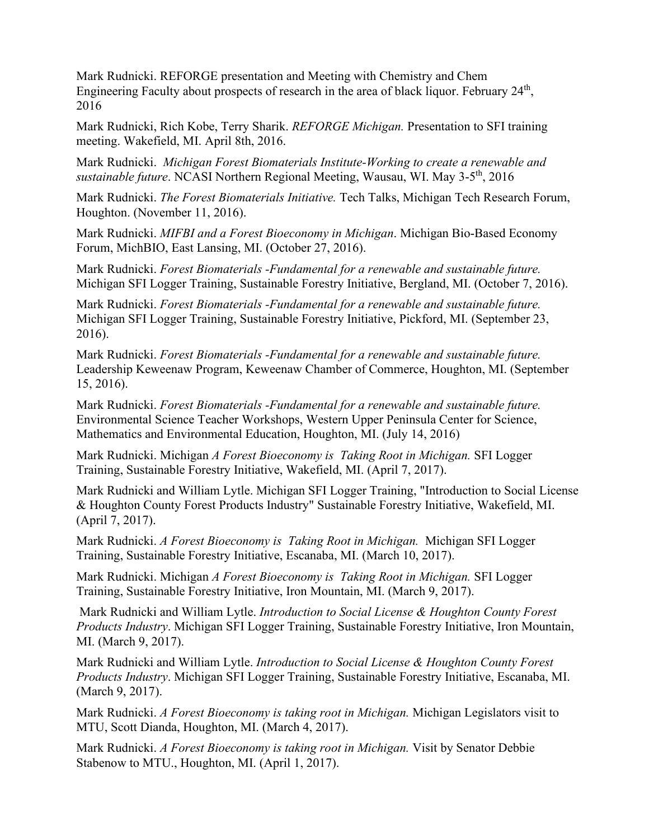Mark Rudnicki. REFORGE presentation and Meeting with Chemistry and Chem Engineering Faculty about prospects of research in the area of black liquor. February 24<sup>th</sup>, 2016

Mark Rudnicki, Rich Kobe, Terry Sharik. *REFORGE Michigan.* Presentation to SFI training meeting. Wakefield, MI. April 8th, 2016.

Mark Rudnicki. *Michigan Forest Biomaterials Institute-Working to create a renewable and sustainable future*. NCASI Northern Regional Meeting, Wausau, WI. May 3-5<sup>th</sup>, 2016

Mark Rudnicki. *The Forest Biomaterials Initiative.* Tech Talks, Michigan Tech Research Forum, Houghton. (November 11, 2016).

Mark Rudnicki. *MIFBI and a Forest Bioeconomy in Michigan*. Michigan Bio-Based Economy Forum, MichBIO, East Lansing, MI. (October 27, 2016).

Mark Rudnicki. *Forest Biomaterials -Fundamental for a renewable and sustainable future.* Michigan SFI Logger Training, Sustainable Forestry Initiative, Bergland, MI. (October 7, 2016).

Mark Rudnicki. *Forest Biomaterials -Fundamental for a renewable and sustainable future.* Michigan SFI Logger Training, Sustainable Forestry Initiative, Pickford, MI. (September 23, 2016).

Mark Rudnicki. *Forest Biomaterials -Fundamental for a renewable and sustainable future.* Leadership Keweenaw Program, Keweenaw Chamber of Commerce, Houghton, MI. (September 15, 2016).

Mark Rudnicki. *Forest Biomaterials -Fundamental for a renewable and sustainable future.* Environmental Science Teacher Workshops, Western Upper Peninsula Center for Science, Mathematics and Environmental Education, Houghton, MI. (July 14, 2016)

Mark Rudnicki. Michigan *A Forest Bioeconomy is Taking Root in Michigan.* SFI Logger Training, Sustainable Forestry Initiative, Wakefield, MI. (April 7, 2017).

Mark Rudnicki and William Lytle. Michigan SFI Logger Training, "Introduction to Social License & Houghton County Forest Products Industry" Sustainable Forestry Initiative, Wakefield, MI. (April 7, 2017).

Mark Rudnicki. *A Forest Bioeconomy is Taking Root in Michigan.* Michigan SFI Logger Training, Sustainable Forestry Initiative, Escanaba, MI. (March 10, 2017).

Mark Rudnicki. Michigan *A Forest Bioeconomy is Taking Root in Michigan.* SFI Logger Training, Sustainable Forestry Initiative, Iron Mountain, MI. (March 9, 2017).

Mark Rudnicki and William Lytle. *Introduction to Social License & Houghton County Forest Products Industry*. Michigan SFI Logger Training, Sustainable Forestry Initiative, Iron Mountain, MI. (March 9, 2017).

Mark Rudnicki and William Lytle. *Introduction to Social License & Houghton County Forest Products Industry*. Michigan SFI Logger Training, Sustainable Forestry Initiative, Escanaba, MI. (March 9, 2017).

Mark Rudnicki. *A Forest Bioeconomy is taking root in Michigan.* Michigan Legislators visit to MTU, Scott Dianda, Houghton, MI. (March 4, 2017).

Mark Rudnicki. *A Forest Bioeconomy is taking root in Michigan.* Visit by Senator Debbie Stabenow to MTU., Houghton, MI. (April 1, 2017).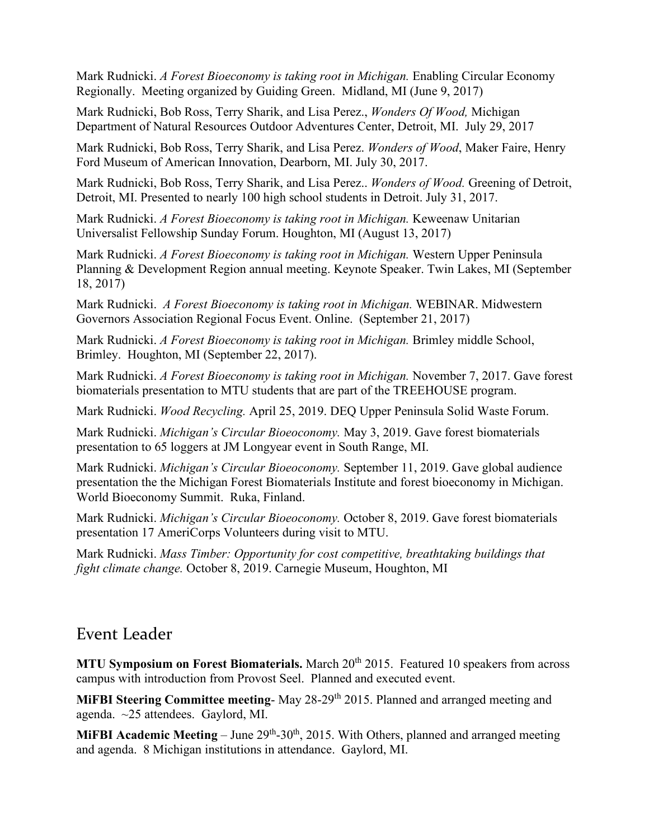Mark Rudnicki. *A Forest Bioeconomy is taking root in Michigan.* Enabling Circular Economy Regionally. Meeting organized by Guiding Green. Midland, MI (June 9, 2017)

Mark Rudnicki, Bob Ross, Terry Sharik, and Lisa Perez., *Wonders Of Wood,* Michigan Department of Natural Resources Outdoor Adventures Center, Detroit, MI. July 29, 2017

Mark Rudnicki, Bob Ross, Terry Sharik, and Lisa Perez. *Wonders of Wood*, Maker Faire, Henry Ford Museum of American Innovation, Dearborn, MI. July 30, 2017.

Mark Rudnicki, Bob Ross, Terry Sharik, and Lisa Perez.. *Wonders of Wood.* Greening of Detroit, Detroit, MI. Presented to nearly 100 high school students in Detroit. July 31, 2017.

Mark Rudnicki. *A Forest Bioeconomy is taking root in Michigan.* Keweenaw Unitarian Universalist Fellowship Sunday Forum. Houghton, MI (August 13, 2017)

Mark Rudnicki. *A Forest Bioeconomy is taking root in Michigan.* Western Upper Peninsula Planning & Development Region annual meeting. Keynote Speaker. Twin Lakes, MI (September 18, 2017)

Mark Rudnicki. *A Forest Bioeconomy is taking root in Michigan.* WEBINAR. Midwestern Governors Association Regional Focus Event. Online. (September 21, 2017)

Mark Rudnicki. *A Forest Bioeconomy is taking root in Michigan.* Brimley middle School, Brimley. Houghton, MI (September 22, 2017).

Mark Rudnicki. *A Forest Bioeconomy is taking root in Michigan.* November 7, 2017. Gave forest biomaterials presentation to MTU students that are part of the TREEHOUSE program.

Mark Rudnicki. *Wood Recycling.* April 25, 2019. DEQ Upper Peninsula Solid Waste Forum.

Mark Rudnicki. *Michigan's Circular Bioeoconomy.* May 3, 2019. Gave forest biomaterials presentation to 65 loggers at JM Longyear event in South Range, MI.

Mark Rudnicki. *Michigan's Circular Bioeoconomy.* September 11, 2019. Gave global audience presentation the the Michigan Forest Biomaterials Institute and forest bioeconomy in Michigan. World Bioeconomy Summit. Ruka, Finland.

Mark Rudnicki. *Michigan's Circular Bioeoconomy.* October 8, 2019. Gave forest biomaterials presentation 17 AmeriCorps Volunteers during visit to MTU.

Mark Rudnicki. *Mass Timber: Opportunity for cost competitive, breathtaking buildings that fight climate change.* October 8, 2019. Carnegie Museum, Houghton, MI

## Event Leader

**MTU Symposium on Forest Biomaterials.** March 20<sup>th</sup> 2015. Featured 10 speakers from across campus with introduction from Provost Seel. Planned and executed event.

**MiFBI Steering Committee meeting-** May 28-29<sup>th</sup> 2015. Planned and arranged meeting and agenda. ~25 attendees. Gaylord, MI.

**MiFBI Academic Meeting** – June  $29<sup>th</sup>$ -30<sup>th</sup>, 2015. With Others, planned and arranged meeting and agenda. 8 Michigan institutions in attendance. Gaylord, MI.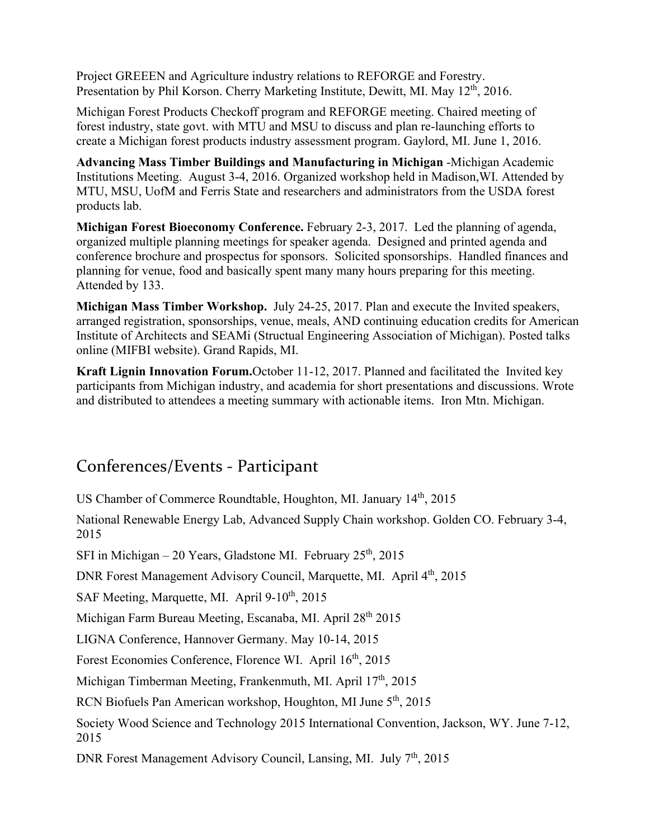Project GREEEN and Agriculture industry relations to REFORGE and Forestry. Presentation by Phil Korson. Cherry Marketing Institute, Dewitt, MI. May 12<sup>th</sup>, 2016.

Michigan Forest Products Checkoff program and REFORGE meeting. Chaired meeting of forest industry, state govt. with MTU and MSU to discuss and plan re-launching efforts to create a Michigan forest products industry assessment program. Gaylord, MI. June 1, 2016.

**Advancing Mass Timber Buildings and Manufacturing in Michigan** -Michigan Academic Institutions Meeting. August 3-4, 2016. Organized workshop held in Madison,WI. Attended by MTU, MSU, UofM and Ferris State and researchers and administrators from the USDA forest products lab.

**Michigan Forest Bioeconomy Conference.** February 2-3, 2017. Led the planning of agenda, organized multiple planning meetings for speaker agenda. Designed and printed agenda and conference brochure and prospectus for sponsors. Solicited sponsorships. Handled finances and planning for venue, food and basically spent many many hours preparing for this meeting. Attended by 133.

**Michigan Mass Timber Workshop.** July 24-25, 2017. Plan and execute the Invited speakers, arranged registration, sponsorships, venue, meals, AND continuing education credits for American Institute of Architects and SEAMi (Structual Engineering Association of Michigan). Posted talks online (MIFBI website). Grand Rapids, MI.

**Kraft Lignin Innovation Forum.**October 11-12, 2017. Planned and facilitated the Invited key participants from Michigan industry, and academia for short presentations and discussions. Wrote and distributed to attendees a meeting summary with actionable items. Iron Mtn. Michigan.

## Conferences/Events - Participant

US Chamber of Commerce Roundtable, Houghton, MI. January 14th, 2015

National Renewable Energy Lab, Advanced Supply Chain workshop. Golden CO. February 3-4, 2015

SFI in Michigan – 20 Years, Gladstone MI. February  $25<sup>th</sup>$ , 2015

DNR Forest Management Advisory Council, Marquette, MI. April 4<sup>th</sup>, 2015

SAF Meeting, Marquette, MI. April 9-10<sup>th</sup>, 2015

Michigan Farm Bureau Meeting, Escanaba, MI. April 28th 2015

LIGNA Conference, Hannover Germany. May 10-14, 2015

Forest Economies Conference, Florence WI. April 16<sup>th</sup>, 2015

Michigan Timberman Meeting, Frankenmuth, MI. April  $17<sup>th</sup>$ , 2015

RCN Biofuels Pan American workshop, Houghton, MI June 5<sup>th</sup>, 2015

Society Wood Science and Technology 2015 International Convention, Jackson, WY. June 7-12, 2015

DNR Forest Management Advisory Council, Lansing, MI. July 7<sup>th</sup>, 2015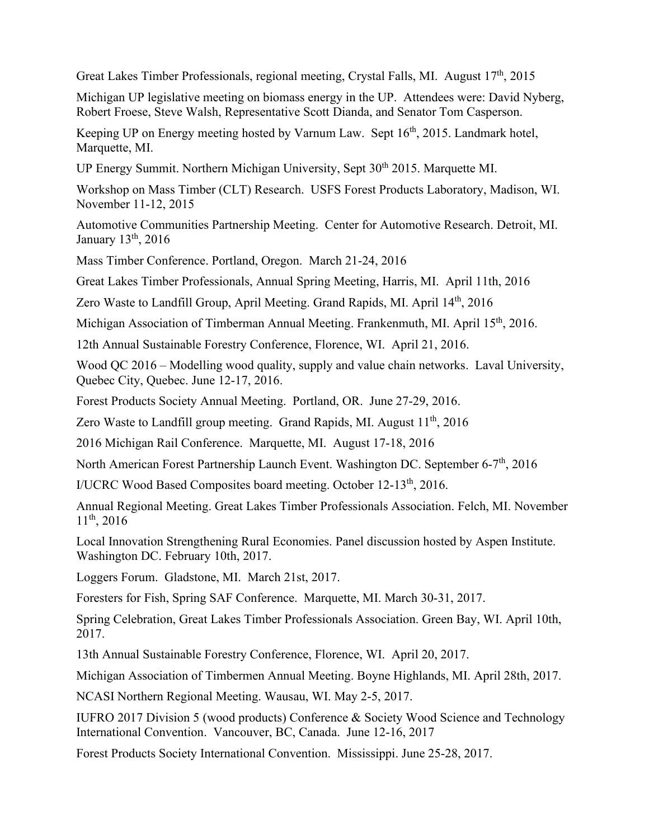Great Lakes Timber Professionals, regional meeting, Crystal Falls, MI. August 17<sup>th</sup>, 2015

Michigan UP legislative meeting on biomass energy in the UP. Attendees were: David Nyberg, Robert Froese, Steve Walsh, Representative Scott Dianda, and Senator Tom Casperson.

Keeping UP on Energy meeting hosted by Varnum Law. Sept  $16<sup>th</sup>$ , 2015. Landmark hotel, Marquette, MI.

UP Energy Summit. Northern Michigan University, Sept 30<sup>th</sup> 2015. Marquette MI.

Workshop on Mass Timber (CLT) Research. USFS Forest Products Laboratory, Madison, WI. November 11-12, 2015

Automotive Communities Partnership Meeting. Center for Automotive Research. Detroit, MI. January 13<sup>th</sup>, 2016

Mass Timber Conference. Portland, Oregon. March 21-24, 2016

Great Lakes Timber Professionals, Annual Spring Meeting, Harris, MI. April 11th, 2016

Zero Waste to Landfill Group, April Meeting. Grand Rapids, MI. April 14<sup>th</sup>, 2016

Michigan Association of Timberman Annual Meeting. Frankenmuth, MI. April 15<sup>th</sup>, 2016.

12th Annual Sustainable Forestry Conference, Florence, WI. April 21, 2016.

Wood QC 2016 – Modelling wood quality, supply and value chain networks. Laval University, Quebec City, Quebec. June 12-17, 2016.

Forest Products Society Annual Meeting. Portland, OR. June 27-29, 2016.

Zero Waste to Landfill group meeting. Grand Rapids, MI. August  $11<sup>th</sup>$ , 2016

2016 Michigan Rail Conference. Marquette, MI. August 17-18, 2016

North American Forest Partnership Launch Event. Washington DC. September  $6-7<sup>th</sup>$ , 2016

I/UCRC Wood Based Composites board meeting. October 12-13th, 2016.

Annual Regional Meeting. Great Lakes Timber Professionals Association. Felch, MI. November  $11^{th}$ , 2016

Local Innovation Strengthening Rural Economies. Panel discussion hosted by Aspen Institute. Washington DC. February 10th, 2017.

Loggers Forum. Gladstone, MI. March 21st, 2017.

Foresters for Fish, Spring SAF Conference. Marquette, MI. March 30-31, 2017.

Spring Celebration, Great Lakes Timber Professionals Association. Green Bay, WI. April 10th, 2017.

13th Annual Sustainable Forestry Conference, Florence, WI. April 20, 2017.

Michigan Association of Timbermen Annual Meeting. Boyne Highlands, MI. April 28th, 2017.

NCASI Northern Regional Meeting. Wausau, WI. May 2-5, 2017.

IUFRO 2017 Division 5 (wood products) Conference & Society Wood Science and Technology International Convention. Vancouver, BC, Canada. June 12-16, 2017

Forest Products Society International Convention. Mississippi. June 25-28, 2017.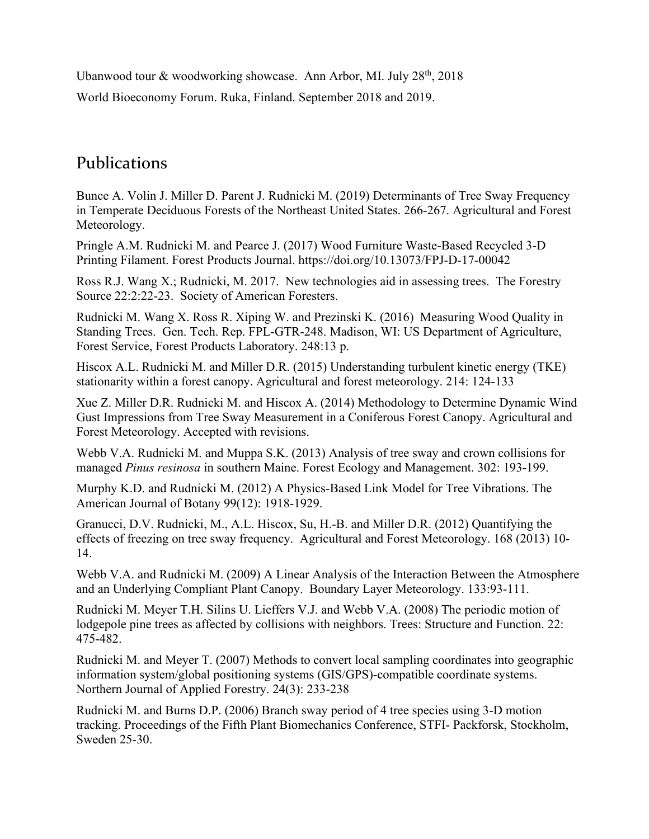Ubanwood tour  $&$  woodworking showcase. Ann Arbor, MI. July  $28<sup>th</sup>$ , 2018 World Bioeconomy Forum. Ruka, Finland. September 2018 and 2019.

## Publications

Bunce A. Volin J. Miller D. Parent J. Rudnicki M. (2019) Determinants of Tree Sway Frequency in Temperate Deciduous Forests of the Northeast United States. 266-267. Agricultural and Forest Meteorology.

Pringle A.M. Rudnicki M. and Pearce J. (2017) Wood Furniture Waste-Based Recycled 3-D Printing Filament. Forest Products Journal. https://doi.org/10.13073/FPJ-D-17-00042

Ross R.J. Wang X.; Rudnicki, M. 2017. New technologies aid in assessing trees. The Forestry Source 22:2:22-23. Society of American Foresters.

Rudnicki M. Wang X. Ross R. Xiping W. and Prezinski K. (2016) Measuring Wood Quality in Standing Trees. Gen. Tech. Rep. FPL-GTR-248. Madison, WI: US Department of Agriculture, Forest Service, Forest Products Laboratory. 248:13 p.

Hiscox A.L. Rudnicki M. and Miller D.R. (2015) Understanding turbulent kinetic energy (TKE) stationarity within a forest canopy. Agricultural and forest meteorology. 214: 124-133

Xue Z. Miller D.R. Rudnicki M. and Hiscox A. (2014) Methodology to Determine Dynamic Wind Gust Impressions from Tree Sway Measurement in a Coniferous Forest Canopy. Agricultural and Forest Meteorology. Accepted with revisions.

Webb V.A. Rudnicki M. and Muppa S.K. (2013) Analysis of tree sway and crown collisions for managed *Pinus resinosa* in southern Maine. Forest Ecology and Management. 302: 193-199.

Murphy K.D. and Rudnicki M. (2012) A Physics-Based Link Model for Tree Vibrations. The American Journal of Botany 99(12): 1918-1929.

Granucci, D.V. Rudnicki, M., A.L. Hiscox, Su, H.-B. and Miller D.R. (2012) Quantifying the effects of freezing on tree sway frequency. Agricultural and Forest Meteorology. 168 (2013) 10- 14.

Webb V.A. and Rudnicki M. (2009) A Linear Analysis of the Interaction Between the Atmosphere and an Underlying Compliant Plant Canopy. Boundary Layer Meteorology. 133:93-111.

Rudnicki M. Meyer T.H. Silins U. Lieffers V.J. and Webb V.A. (2008) The periodic motion of lodgepole pine trees as affected by collisions with neighbors. Trees: Structure and Function. 22: 475-482.

Rudnicki M. and Meyer T. (2007) Methods to convert local sampling coordinates into geographic information system/global positioning systems (GIS/GPS)-compatible coordinate systems. Northern Journal of Applied Forestry. 24(3): 233-238

Rudnicki M. and Burns D.P. (2006) Branch sway period of 4 tree species using 3-D motion tracking. Proceedings of the Fifth Plant Biomechanics Conference, STFI- Packforsk, Stockholm, Sweden 25-30.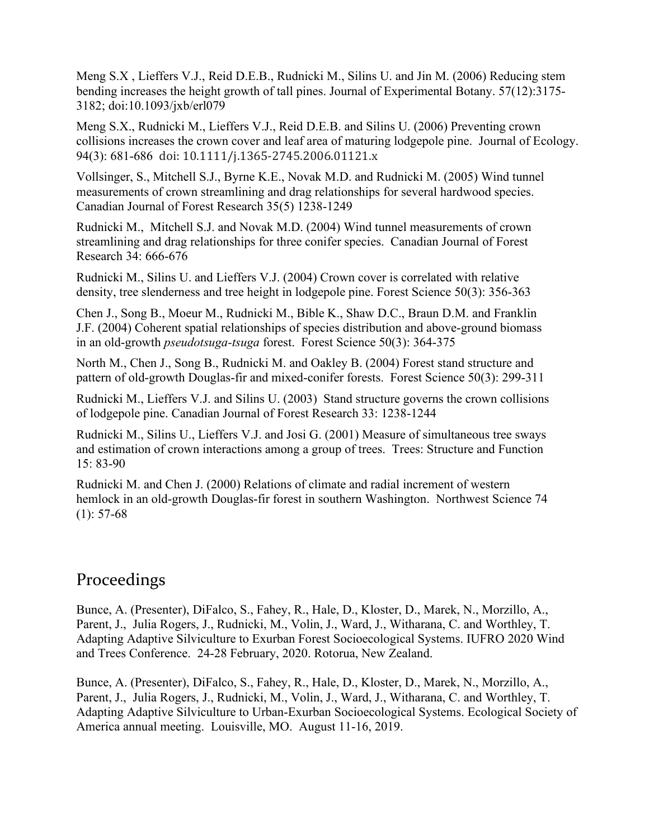Meng S.X , Lieffers V.J., Reid D.E.B., Rudnicki M., Silins U. and Jin M. (2006) Reducing stem bending increases the height growth of tall pines. Journal of Experimental Botany. 57(12):3175- 3182; doi:10.1093/jxb/erl079

Meng S.X., Rudnicki M., Lieffers V.J., Reid D.E.B. and Silins U. (2006) Preventing crown collisions increases the crown cover and leaf area of maturing lodgepole pine. Journal of Ecology. 94(3): 681-686 doi: 10.1111/j.1365-2745.2006.01121.x

Vollsinger, S., Mitchell S.J., Byrne K.E., Novak M.D. and Rudnicki M. (2005) Wind tunnel measurements of crown streamlining and drag relationships for several hardwood species. Canadian Journal of Forest Research 35(5) 1238-1249

Rudnicki M., Mitchell S.J. and Novak M.D. (2004) Wind tunnel measurements of crown streamlining and drag relationships for three conifer species. Canadian Journal of Forest Research 34: 666-676

Rudnicki M., Silins U. and Lieffers V.J. (2004) Crown cover is correlated with relative density, tree slenderness and tree height in lodgepole pine. Forest Science 50(3): 356-363

Chen J., Song B., Moeur M., Rudnicki M., Bible K., Shaw D.C., Braun D.M. and Franklin J.F. (2004) Coherent spatial relationships of species distribution and above-ground biomass in an old-growth *pseudotsuga-tsuga* forest. Forest Science 50(3): 364-375

North M., Chen J., Song B., Rudnicki M. and Oakley B. (2004) Forest stand structure and pattern of old-growth Douglas-fir and mixed-conifer forests. Forest Science 50(3): 299-311

Rudnicki M., Lieffers V.J. and Silins U. (2003) Stand structure governs the crown collisions of lodgepole pine. Canadian Journal of Forest Research 33: 1238-1244

Rudnicki M., Silins U., Lieffers V.J. and Josi G. (2001) Measure of simultaneous tree sways and estimation of crown interactions among a group of trees. Trees: Structure and Function 15: 83-90

Rudnicki M. and Chen J. (2000) Relations of climate and radial increment of western hemlock in an old-growth Douglas-fir forest in southern Washington. Northwest Science 74  $(1): 57-68$ 

## Proceedings

Bunce, A. (Presenter), DiFalco, S., Fahey, R., Hale, D., Kloster, D., Marek, N., Morzillo, A., Parent, J., Julia Rogers, J., Rudnicki, M., Volin, J., Ward, J., Witharana, C. and Worthley, T. Adapting Adaptive Silviculture to Exurban Forest Socioecological Systems. IUFRO 2020 Wind and Trees Conference. 24-28 February, 2020. Rotorua, New Zealand.

Bunce, A. (Presenter), DiFalco, S., Fahey, R., Hale, D., Kloster, D., Marek, N., Morzillo, A., Parent, J., Julia Rogers, J., Rudnicki, M., Volin, J., Ward, J., Witharana, C. and Worthley, T. Adapting Adaptive Silviculture to Urban-Exurban Socioecological Systems. Ecological Society of America annual meeting. Louisville, MO. August 11-16, 2019.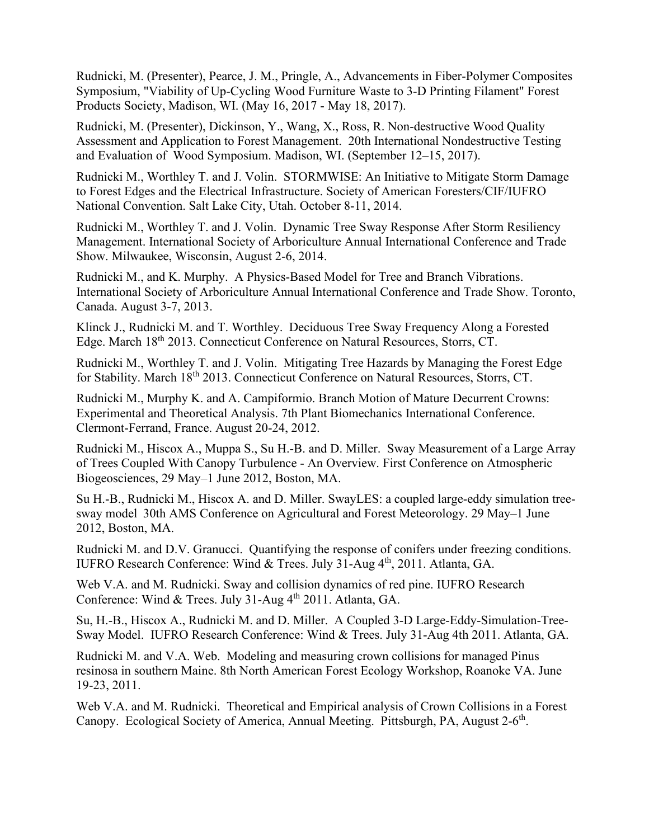Rudnicki, M. (Presenter), Pearce, J. M., Pringle, A., Advancements in Fiber-Polymer Composites Symposium, "Viability of Up-Cycling Wood Furniture Waste to 3-D Printing Filament" Forest Products Society, Madison, WI. (May 16, 2017 - May 18, 2017).

Rudnicki, M. (Presenter), Dickinson, Y., Wang, X., Ross, R. Non-destructive Wood Quality Assessment and Application to Forest Management. 20th International Nondestructive Testing and Evaluation of Wood Symposium. Madison, WI. (September 12–15, 2017).

Rudnicki M., Worthley T. and J. Volin. STORMWISE: An Initiative to Mitigate Storm Damage to Forest Edges and the Electrical Infrastructure. Society of American Foresters/CIF/IUFRO National Convention. Salt Lake City, Utah. October 8-11, 2014.

Rudnicki M., Worthley T. and J. Volin. Dynamic Tree Sway Response After Storm Resiliency Management. International Society of Arboriculture Annual International Conference and Trade Show. Milwaukee, Wisconsin, August 2-6, 2014.

Rudnicki M., and K. Murphy. A Physics-Based Model for Tree and Branch Vibrations. International Society of Arboriculture Annual International Conference and Trade Show. Toronto, Canada. August 3-7, 2013.

Klinck J., Rudnicki M. and T. Worthley. Deciduous Tree Sway Frequency Along a Forested Edge. March 18th 2013. Connecticut Conference on Natural Resources, Storrs, CT.

Rudnicki M., Worthley T. and J. Volin. Mitigating Tree Hazards by Managing the Forest Edge for Stability. March 18<sup>th</sup> 2013. Connecticut Conference on Natural Resources, Storrs, CT.

Rudnicki M., Murphy K. and A. Campiformio. Branch Motion of Mature Decurrent Crowns: Experimental and Theoretical Analysis. 7th Plant Biomechanics International Conference. Clermont-Ferrand, France. August 20-24, 2012.

Rudnicki M., Hiscox A., Muppa S., Su H.-B. and D. Miller. Sway Measurement of a Large Array of Trees Coupled With Canopy Turbulence - An Overview. First Conference on Atmospheric Biogeosciences, 29 May–1 June 2012, Boston, MA.

Su H.-B., Rudnicki M., Hiscox A. and D. Miller. SwayLES: a coupled large-eddy simulation treesway model 30th AMS Conference on Agricultural and Forest Meteorology. 29 May–1 June 2012, Boston, MA.

Rudnicki M. and D.V. Granucci. Quantifying the response of conifers under freezing conditions. IUFRO Research Conference: Wind & Trees. July 31-Aug 4<sup>th</sup>, 2011. Atlanta, GA.

Web V.A. and M. Rudnicki. Sway and collision dynamics of red pine. IUFRO Research Conference: Wind & Trees. July 31-Aug 4<sup>th</sup> 2011. Atlanta, GA.

Su, H.-B., Hiscox A., Rudnicki M. and D. Miller. A Coupled 3-D Large-Eddy-Simulation-Tree-Sway Model. IUFRO Research Conference: Wind & Trees. July 31-Aug 4th 2011. Atlanta, GA.

Rudnicki M. and V.A. Web. Modeling and measuring crown collisions for managed Pinus resinosa in southern Maine. 8th North American Forest Ecology Workshop, Roanoke VA. June 19-23, 2011.

Web V.A. and M. Rudnicki. Theoretical and Empirical analysis of Crown Collisions in a Forest Canopy. Ecological Society of America, Annual Meeting. Pittsburgh, PA, August 2-6<sup>th</sup>.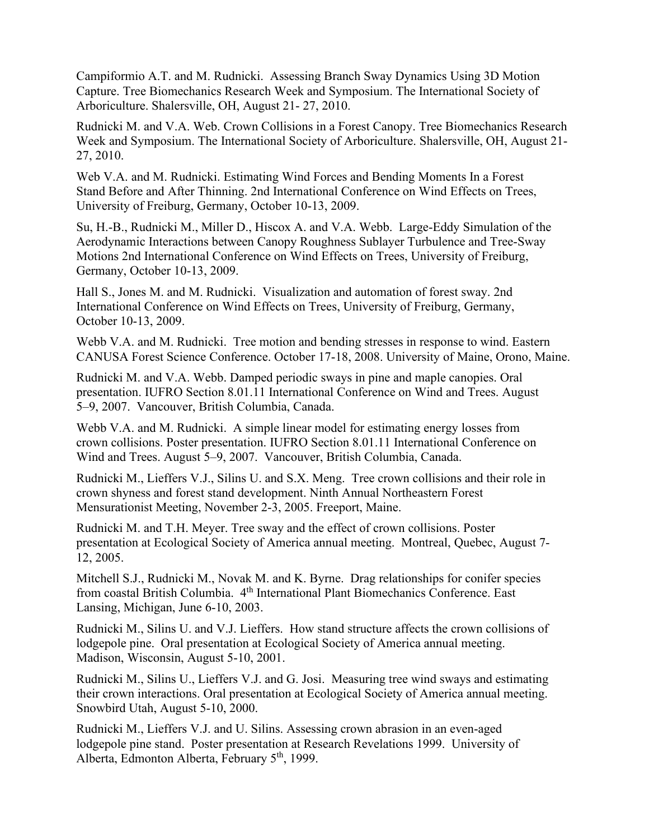Campiformio A.T. and M. Rudnicki. Assessing Branch Sway Dynamics Using 3D Motion Capture. Tree Biomechanics Research Week and Symposium. The International Society of Arboriculture. Shalersville, OH, August 21- 27, 2010.

Rudnicki M. and V.A. Web. Crown Collisions in a Forest Canopy. Tree Biomechanics Research Week and Symposium. The International Society of Arboriculture. Shalersville, OH, August 21- 27, 2010.

Web V.A. and M. Rudnicki. Estimating Wind Forces and Bending Moments In a Forest Stand Before and After Thinning. 2nd International Conference on Wind Effects on Trees, University of Freiburg, Germany, October 10-13, 2009.

Su, H.-B., Rudnicki M., Miller D., Hiscox A. and V.A. Webb. Large-Eddy Simulation of the Aerodynamic Interactions between Canopy Roughness Sublayer Turbulence and Tree-Sway Motions 2nd International Conference on Wind Effects on Trees, University of Freiburg, Germany, October 10-13, 2009.

Hall S., Jones M. and M. Rudnicki. Visualization and automation of forest sway. 2nd International Conference on Wind Effects on Trees, University of Freiburg, Germany, October 10-13, 2009.

Webb V.A. and M. Rudnicki. Tree motion and bending stresses in response to wind. Eastern CANUSA Forest Science Conference. October 17-18, 2008. University of Maine, Orono, Maine.

Rudnicki M. and V.A. Webb. Damped periodic sways in pine and maple canopies. Oral presentation. IUFRO Section 8.01.11 International Conference on Wind and Trees. August 5–9, 2007. Vancouver, British Columbia, Canada.

Webb V.A. and M. Rudnicki. A simple linear model for estimating energy losses from crown collisions. Poster presentation. IUFRO Section 8.01.11 International Conference on Wind and Trees. August 5–9, 2007. Vancouver, British Columbia, Canada.

Rudnicki M., Lieffers V.J., Silins U. and S.X. Meng. Tree crown collisions and their role in crown shyness and forest stand development. Ninth Annual Northeastern Forest Mensurationist Meeting, November 2-3, 2005. Freeport, Maine.

Rudnicki M. and T.H. Meyer. Tree sway and the effect of crown collisions. Poster presentation at Ecological Society of America annual meeting. Montreal, Quebec, August 7- 12, 2005.

Mitchell S.J., Rudnicki M., Novak M. and K. Byrne. Drag relationships for conifer species from coastal British Columbia. 4<sup>th</sup> International Plant Biomechanics Conference. East Lansing, Michigan, June 6-10, 2003.

Rudnicki M., Silins U. and V.J. Lieffers. How stand structure affects the crown collisions of lodgepole pine. Oral presentation at Ecological Society of America annual meeting. Madison, Wisconsin, August 5-10, 2001.

Rudnicki M., Silins U., Lieffers V.J. and G. Josi. Measuring tree wind sways and estimating their crown interactions. Oral presentation at Ecological Society of America annual meeting. Snowbird Utah, August 5-10, 2000.

Rudnicki M., Lieffers V.J. and U. Silins. Assessing crown abrasion in an even-aged lodgepole pine stand. Poster presentation at Research Revelations 1999. University of Alberta, Edmonton Alberta, February 5th, 1999.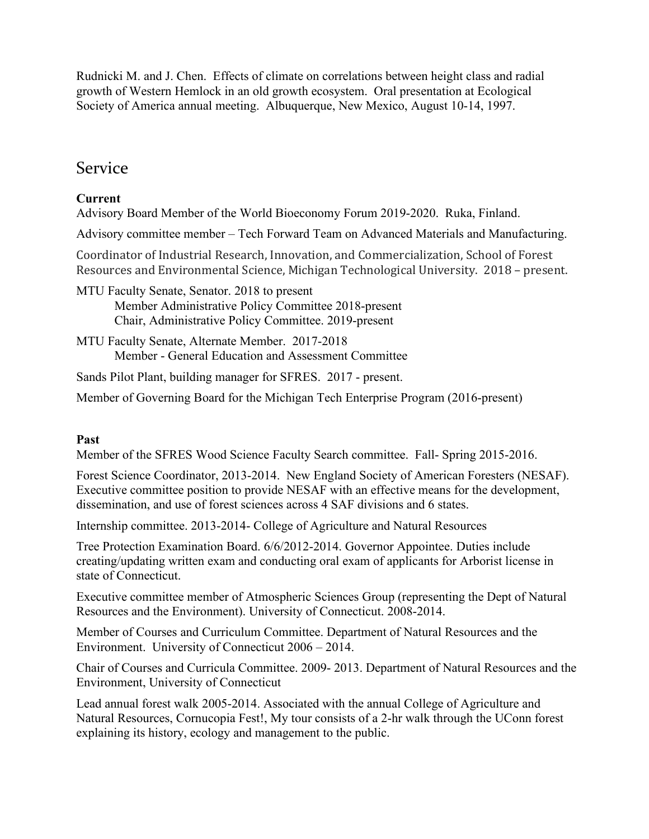Rudnicki M. and J. Chen. Effects of climate on correlations between height class and radial growth of Western Hemlock in an old growth ecosystem. Oral presentation at Ecological Society of America annual meeting. Albuquerque, New Mexico, August 10-14, 1997.

### Service

### **Current**

Advisory Board Member of the World Bioeconomy Forum 2019-2020. Ruka, Finland.

Advisory committee member – Tech Forward Team on Advanced Materials and Manufacturing.

Coordinator of Industrial Research, Innovation, and Commercialization, School of Forest Resources and Environmental Science, Michigan Technological University. 2018 – present.

MTU Faculty Senate, Senator. 2018 to present Member Administrative Policy Committee 2018-present Chair, Administrative Policy Committee. 2019-present

MTU Faculty Senate, Alternate Member. 2017-2018 Member - General Education and Assessment Committee

Sands Pilot Plant, building manager for SFRES. 2017 - present.

Member of Governing Board for the Michigan Tech Enterprise Program (2016-present)

### **Past**

Member of the SFRES Wood Science Faculty Search committee. Fall- Spring 2015-2016.

Forest Science Coordinator, 2013-2014. New England Society of American Foresters (NESAF). Executive committee position to provide NESAF with an effective means for the development, dissemination, and use of forest sciences across 4 SAF divisions and 6 states.

Internship committee. 2013-2014- College of Agriculture and Natural Resources

Tree Protection Examination Board. 6/6/2012-2014. Governor Appointee. Duties include creating/updating written exam and conducting oral exam of applicants for Arborist license in state of Connecticut.

Executive committee member of Atmospheric Sciences Group (representing the Dept of Natural Resources and the Environment). University of Connecticut. 2008-2014.

Member of Courses and Curriculum Committee. Department of Natural Resources and the Environment. University of Connecticut 2006 – 2014.

Chair of Courses and Curricula Committee. 2009- 2013. Department of Natural Resources and the Environment, University of Connecticut

Lead annual forest walk 2005-2014. Associated with the annual College of Agriculture and Natural Resources, Cornucopia Fest!, My tour consists of a 2-hr walk through the UConn forest explaining its history, ecology and management to the public.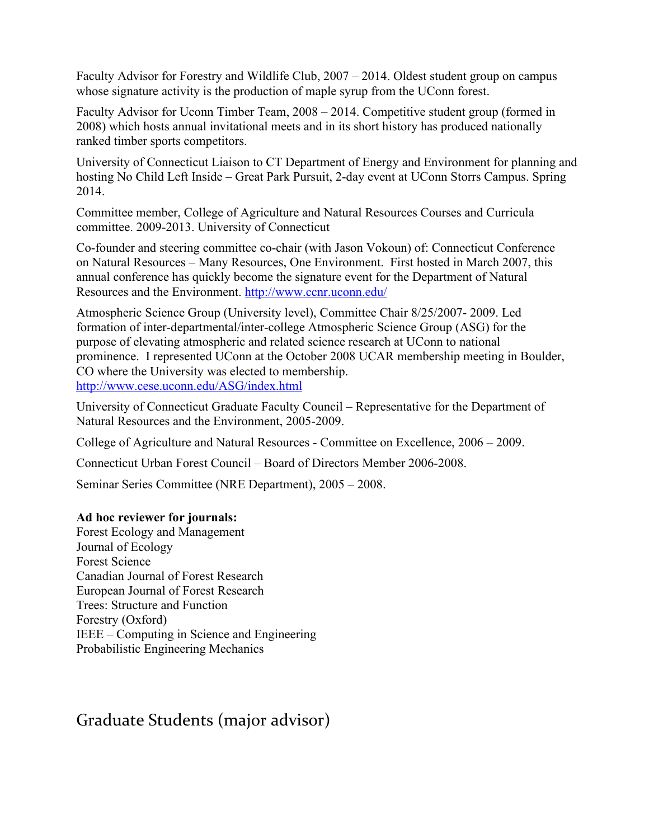Faculty Advisor for Forestry and Wildlife Club, 2007 – 2014. Oldest student group on campus whose signature activity is the production of maple syrup from the UConn forest.

Faculty Advisor for Uconn Timber Team, 2008 – 2014. Competitive student group (formed in 2008) which hosts annual invitational meets and in its short history has produced nationally ranked timber sports competitors.

University of Connecticut Liaison to CT Department of Energy and Environment for planning and hosting No Child Left Inside – Great Park Pursuit, 2-day event at UConn Storrs Campus. Spring 2014.

Committee member, College of Agriculture and Natural Resources Courses and Curricula committee. 2009-2013. University of Connecticut

Co-founder and steering committee co-chair (with Jason Vokoun) of: Connecticut Conference on Natural Resources – Many Resources, One Environment. First hosted in March 2007, this annual conference has quickly become the signature event for the Department of Natural Resources and the Environment.<http://www.ccnr.uconn.edu/>

Atmospheric Science Group (University level), Committee Chair 8/25/2007- 2009. Led formation of inter-departmental/inter-college Atmospheric Science Group (ASG) for the purpose of elevating atmospheric and related science research at UConn to national prominence. I represented UConn at the October 2008 UCAR membership meeting in Boulder, CO where the University was elected to membership. <http://www.cese.uconn.edu/ASG/index.html>

University of Connecticut Graduate Faculty Council – Representative for the Department of Natural Resources and the Environment, 2005-2009.

College of Agriculture and Natural Resources - Committee on Excellence, 2006 – 2009.

Connecticut Urban Forest Council – Board of Directors Member 2006-2008.

Seminar Series Committee (NRE Department), 2005 – 2008.

### **Ad hoc reviewer for journals:**

Forest Ecology and Management Journal of Ecology Forest Science Canadian Journal of Forest Research European Journal of Forest Research Trees: Structure and Function Forestry (Oxford) IEEE – Computing in Science and Engineering Probabilistic Engineering Mechanics

## Graduate Students (major advisor)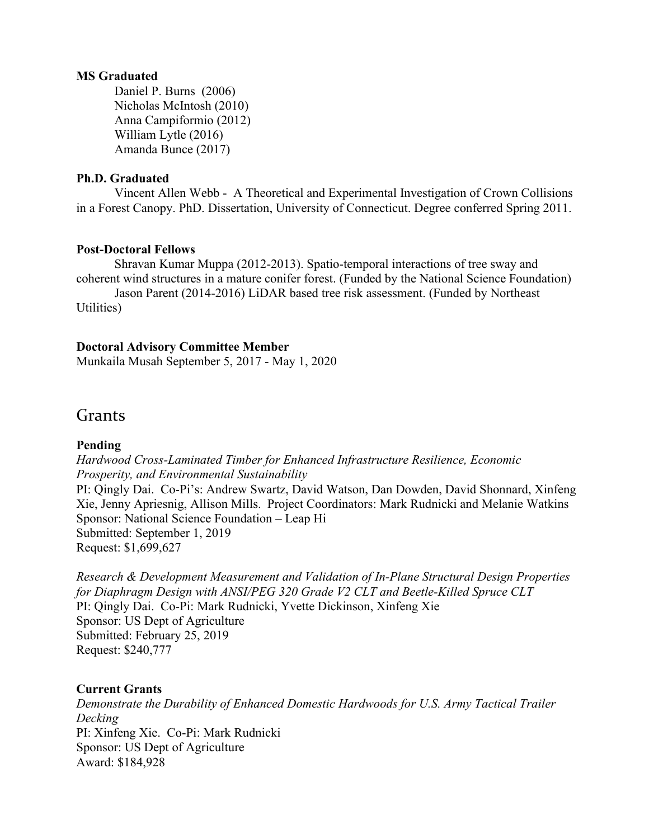### **MS Graduated**

Daniel P. Burns (2006) Nicholas McIntosh (2010) Anna Campiformio (2012) William Lytle (2016) Amanda Bunce (2017)

#### **Ph.D. Graduated**

Vincent Allen Webb - A Theoretical and Experimental Investigation of Crown Collisions in a Forest Canopy. PhD. Dissertation, University of Connecticut. Degree conferred Spring 2011.

#### **Post-Doctoral Fellows**

Shravan Kumar Muppa (2012-2013). Spatio-temporal interactions of tree sway and coherent wind structures in a mature conifer forest. (Funded by the National Science Foundation)

Jason Parent (2014-2016) LiDAR based tree risk assessment. (Funded by Northeast Utilities)

### **Doctoral Advisory Committee Member**

Munkaila Musah September 5, 2017 - May 1, 2020

### Grants

### **Pending**

*Hardwood Cross-Laminated Timber for Enhanced Infrastructure Resilience, Economic Prosperity, and Environmental Sustainability* PI: Qingly Dai. Co-Pi's: Andrew Swartz, David Watson, Dan Dowden, David Shonnard, Xinfeng Xie, Jenny Apriesnig, Allison Mills. Project Coordinators: Mark Rudnicki and Melanie Watkins Sponsor: National Science Foundation – Leap Hi Submitted: September 1, 2019 Request: \$1,699,627

*Research & Development Measurement and Validation of In-Plane Structural Design Properties for Diaphragm Design with ANSI/PEG 320 Grade V2 CLT and Beetle-Killed Spruce CLT*  PI: Qingly Dai. Co-Pi: Mark Rudnicki, Yvette Dickinson, Xinfeng Xie Sponsor: US Dept of Agriculture Submitted: February 25, 2019 Request: \$240,777

### **Current Grants**

*Demonstrate the Durability of Enhanced Domestic Hardwoods for U.S. Army Tactical Trailer Decking*  PI: Xinfeng Xie. Co-Pi: Mark Rudnicki Sponsor: US Dept of Agriculture Award: \$184,928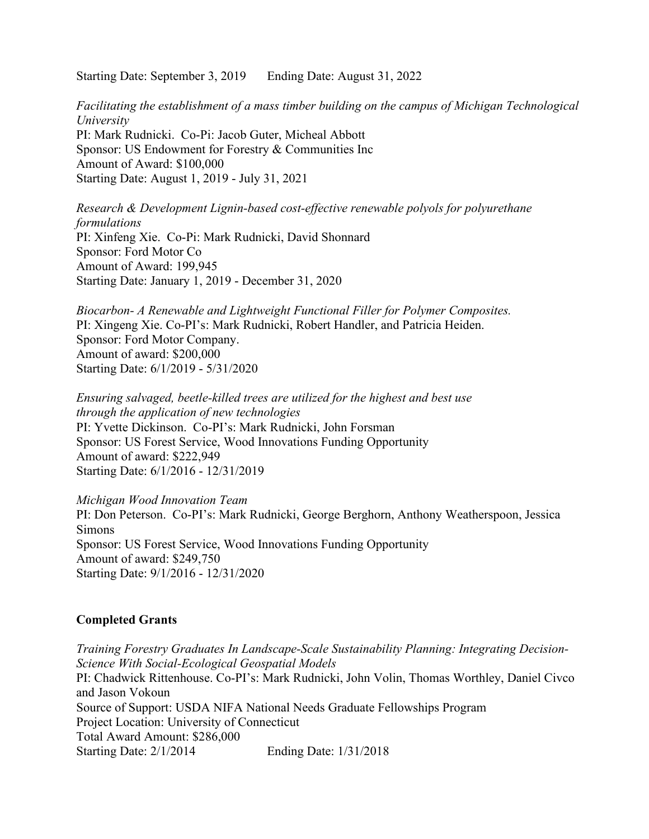Starting Date: September 3, 2019 Ending Date: August 31, 2022

*Facilitating the establishment of a mass timber building on the campus of Michigan Technological University*  PI: Mark Rudnicki. Co-Pi: Jacob Guter, Micheal Abbott Sponsor: US Endowment for Forestry & Communities Inc Amount of Award: \$100,000 Starting Date: August 1, 2019 - July 31, 2021

*Research & Development Lignin-based cost-effective renewable polyols for polyurethane formulations*  PI: Xinfeng Xie. Co-Pi: Mark Rudnicki, David Shonnard Sponsor: Ford Motor Co Amount of Award: 199,945 Starting Date: January 1, 2019 - December 31, 2020

*Biocarbon- A Renewable and Lightweight Functional Filler for Polymer Composites.* PI: Xingeng Xie. Co-PI's: Mark Rudnicki, Robert Handler, and Patricia Heiden. Sponsor: Ford Motor Company. Amount of award: \$200,000 Starting Date: 6/1/2019 - 5/31/2020

*Ensuring salvaged, beetle-killed trees are utilized for the highest and best use through the application of new technologies* PI: Yvette Dickinson. Co-PI's: Mark Rudnicki, John Forsman Sponsor: US Forest Service, Wood Innovations Funding Opportunity Amount of award: \$222,949 Starting Date: 6/1/2016 - 12/31/2019

*Michigan Wood Innovation Team*

PI: Don Peterson. Co-PI's: Mark Rudnicki, George Berghorn, Anthony Weatherspoon, Jessica Simons Sponsor: US Forest Service, Wood Innovations Funding Opportunity Amount of award: \$249,750 Starting Date: 9/1/2016 - 12/31/2020

#### **Completed Grants**

*Training Forestry Graduates In Landscape-Scale Sustainability Planning: Integrating Decision-Science With Social-Ecological Geospatial Models* PI: Chadwick Rittenhouse. Co-PI's: Mark Rudnicki, John Volin, Thomas Worthley, Daniel Civco and Jason Vokoun Source of Support: USDA NIFA National Needs Graduate Fellowships Program Project Location: University of Connecticut Total Award Amount: \$286,000 Starting Date: 2/1/2014 Ending Date: 1/31/2018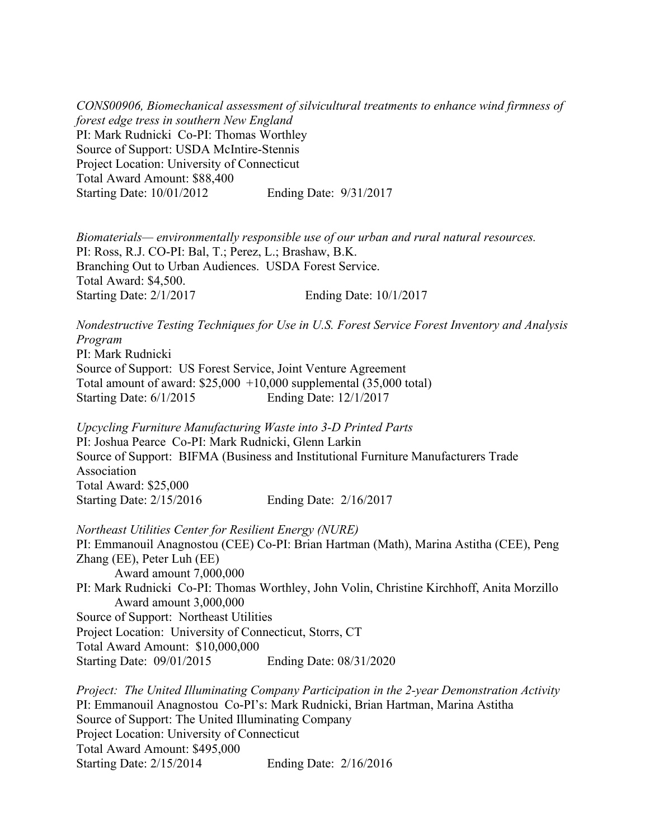*CONS00906, Biomechanical assessment of silvicultural treatments to enhance wind firmness of forest edge tress in southern New England* PI: Mark Rudnicki Co-PI: Thomas Worthley Source of Support: USDA McIntire-Stennis Project Location: University of Connecticut Total Award Amount: \$88,400 Starting Date: 10/01/2012 Ending Date: 9/31/2017

*Biomaterials— environmentally responsible use of our urban and rural natural resources.*  PI: Ross, R.J. CO-PI: Bal, T.; Perez, L.; Brashaw, B.K. Branching Out to Urban Audiences. USDA Forest Service. Total Award: \$4,500. Starting Date: 2/1/2017 Ending Date: 10/1/2017

*Nondestructive Testing Techniques for Use in U.S. Forest Service Forest Inventory and Analysis Program* PI: Mark Rudnicki Source of Support: US Forest Service, Joint Venture Agreement Total amount of award: \$25,000 +10,000 supplemental (35,000 total) Starting Date: 6/1/2015 Ending Date: 12/1/2017

*Upcycling Furniture Manufacturing Waste into 3-D Printed Parts*  PI: Joshua Pearce Co-PI: Mark Rudnicki, Glenn Larkin Source of Support: BIFMA (Business and Institutional Furniture Manufacturers Trade Association Total Award: \$25,000 Starting Date: 2/15/2016 Ending Date: 2/16/2017

*Northeast Utilities Center for Resilient Energy (NURE)* PI: Emmanouil Anagnostou (CEE) Co-PI: Brian Hartman (Math), Marina Astitha (CEE), Peng Zhang (EE), Peter Luh (EE) Award amount 7,000,000 PI: Mark Rudnicki Co-PI: Thomas Worthley, John Volin, Christine Kirchhoff, Anita Morzillo Award amount 3,000,000 Source of Support: Northeast Utilities Project Location: University of Connecticut, Storrs, CT Total Award Amount: \$10,000,000 Starting Date: 09/01/2015 Ending Date: 08/31/2020

*Project: The United Illuminating Company Participation in the 2-year Demonstration Activity* PI: Emmanouil Anagnostou Co-PI's: Mark Rudnicki, Brian Hartman, Marina Astitha Source of Support: The United Illuminating Company Project Location: University of Connecticut Total Award Amount: \$495,000 Starting Date: 2/15/2014 Ending Date: 2/16/2016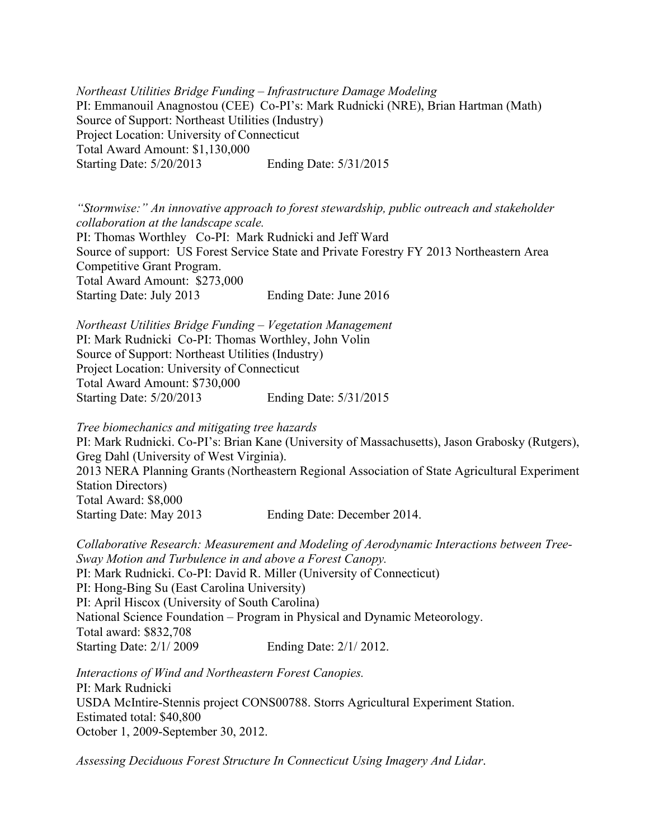*Northeast Utilities Bridge Funding – Infrastructure Damage Modeling* PI: Emmanouil Anagnostou (CEE) Co-PI's: Mark Rudnicki (NRE), Brian Hartman (Math) Source of Support: Northeast Utilities (Industry) Project Location: University of Connecticut Total Award Amount: \$1,130,000 Starting Date: 5/20/2013 Ending Date: 5/31/2015

*"Stormwise:" An innovative approach to forest stewardship, public outreach and stakeholder collaboration at the landscape scale.* PI: Thomas Worthley Co-PI: Mark Rudnicki and Jeff Ward Source of support: US Forest Service State and Private Forestry FY 2013 Northeastern Area Competitive Grant Program. Total Award Amount: \$273,000 Starting Date: July 2013 Ending Date: June 2016

*Northeast Utilities Bridge Funding – Vegetation Management* PI: Mark Rudnicki Co-PI: Thomas Worthley, John Volin Source of Support: Northeast Utilities (Industry) Project Location: University of Connecticut Total Award Amount: \$730,000 Starting Date: 5/20/2013 Ending Date: 5/31/2015

*Tree biomechanics and mitigating tree hazards* PI: Mark Rudnicki. Co-PI's: Brian Kane (University of Massachusetts), Jason Grabosky (Rutgers), Greg Dahl (University of West Virginia). 2013 NERA Planning Grants (Northeastern Regional Association of State Agricultural Experiment Station Directors) Total Award: \$8,000 Starting Date: May 2013 Ending Date: December 2014.

*Collaborative Research: Measurement and Modeling of Aerodynamic Interactions between Tree-Sway Motion and Turbulence in and above a Forest Canopy.*  PI: Mark Rudnicki. Co-PI: David R. Miller (University of Connecticut) PI: Hong-Bing Su (East Carolina University) PI: April Hiscox (University of South Carolina) National Science Foundation – Program in Physical and Dynamic Meteorology. Total award: \$832,708 Starting Date: 2/1/ 2009 Ending Date: 2/1/ 2012.

*Interactions of Wind and Northeastern Forest Canopies.* PI: Mark Rudnicki USDA McIntire-Stennis project CONS00788. Storrs Agricultural Experiment Station. Estimated total: \$40,800 October 1, 2009-September 30, 2012.

*Assessing Deciduous Forest Structure In Connecticut Using Imagery And Lidar*.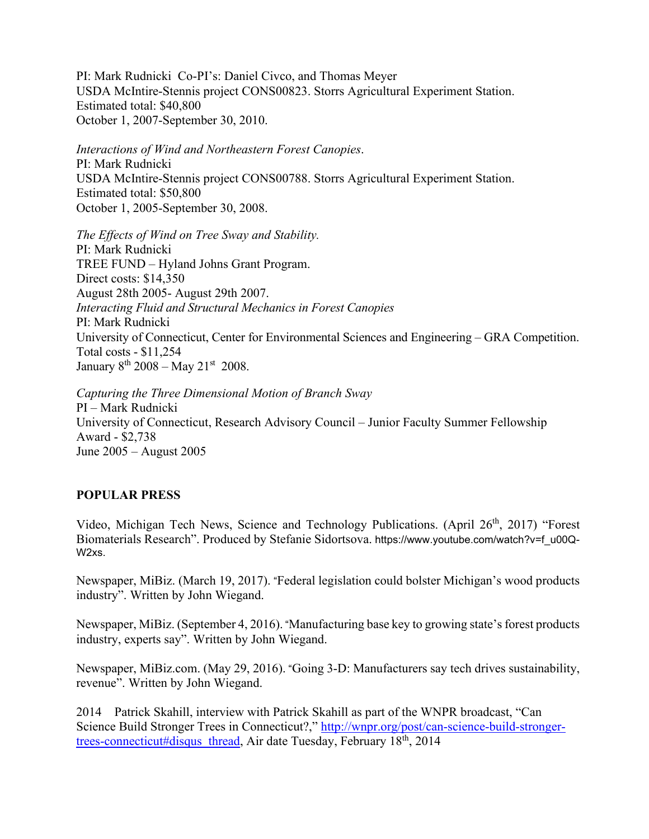PI: Mark Rudnicki Co-PI's: Daniel Civco, and Thomas Meyer USDA McIntire-Stennis project CONS00823. Storrs Agricultural Experiment Station. Estimated total: \$40,800 October 1, 2007-September 30, 2010.

*Interactions of Wind and Northeastern Forest Canopies*. PI: Mark Rudnicki USDA McIntire-Stennis project CONS00788. Storrs Agricultural Experiment Station. Estimated total: \$50,800 October 1, 2005-September 30, 2008.

*The Effects of Wind on Tree Sway and Stability.* PI: Mark Rudnicki TREE FUND – Hyland Johns Grant Program. Direct costs: \$14,350 August 28th 2005- August 29th 2007. *Interacting Fluid and Structural Mechanics in Forest Canopies* PI: Mark Rudnicki University of Connecticut, Center for Environmental Sciences and Engineering – GRA Competition. Total costs - \$11,254 January  $8^{th}$  2008 – May 21<sup>st</sup> 2008.

*Capturing the Three Dimensional Motion of Branch Sway* PI – Mark Rudnicki University of Connecticut, Research Advisory Council – Junior Faculty Summer Fellowship Award - \$2,738 June 2005 – August 2005

### **POPULAR PRESS**

Video, Michigan Tech News, Science and Technology Publications. (April 26<sup>th</sup>, 2017) "Forest Biomaterials Research". Produced by Stefanie Sidortsova. https://www.youtube.com/watch?v=f\_u00Q-W2xs.

Newspaper, MiBiz. (March 19, 2017). "Federal legislation could bolster Michigan's wood products industry". Written by John Wiegand.

Newspaper, MiBiz. (September 4, 2016). "Manufacturing base key to growing state's forest products industry, experts say". Written by John Wiegand.

Newspaper, MiBiz.com. (May 29, 2016). "Going 3-D: Manufacturers say tech drives sustainability, revenue". Written by John Wiegand.

2014 Patrick Skahill, interview with Patrick Skahill as part of the WNPR broadcast, "Can Science Build Stronger Trees in Connecticut?," [http://wnpr.org/post/can-science-build-stronger](http://wnpr.org/post/can-science-build-stronger-trees-connecticut#disqus_thread)[trees-connecticut#disqus\\_thread,](http://wnpr.org/post/can-science-build-stronger-trees-connecticut#disqus_thread) Air date Tuesday, February 18th, 2014